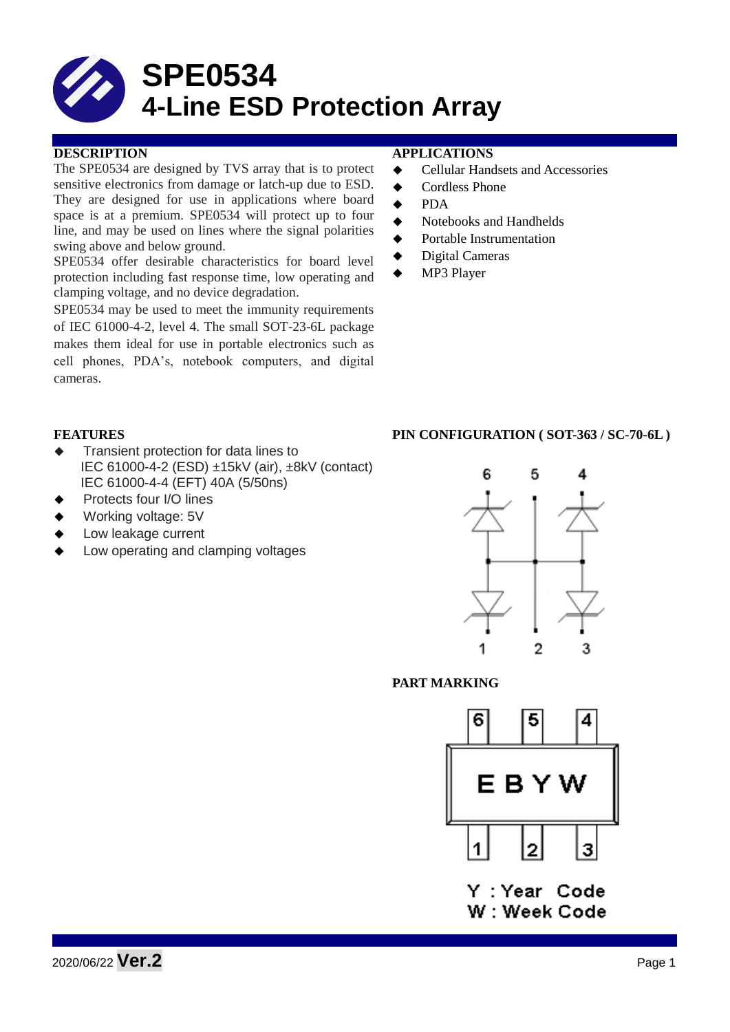

## **DESCRIPTION APPLICATIONS**

The SPE0534 are designed by TVS array that is to protect sensitive electronics from damage or latch-up due to ESD. They are designed for use in applications where board space is at a premium. SPE0534 will protect up to four line, and may be used on lines where the signal polarities swing above and below ground.

SPE0534 offer desirable characteristics for board level protection including fast response time, low operating and clamping voltage, and no device degradation.

SPE0534 may be used to meet the immunity requirements of IEC 61000-4-2, level 4. The small SOT-23-6L package makes them ideal for use in portable electronics such as cell phones, PDA's, notebook computers, and digital cameras.

- Cellular Handsets and Accessories
- **←** Cordless Phone
- $\bullet$  PDA
- Notebooks and Handhelds
- Portable Instrumentation
- ◆ Digital Cameras
- MP3 Player

- Transient protection for data lines to IEC 61000-4-2 (ESD) ±15kV (air), ±8kV (contact) IEC 61000-4-4 (EFT) 40A (5/50ns)
- Protects four I/O lines
- Working voltage: 5V
- Low leakage current
- Low operating and clamping voltages

## **FEATURES PIN CONFIGURATION ( SOT-363 / SC-70-6L )**



## **PART MARKING**



Y : Year Code W : Week Code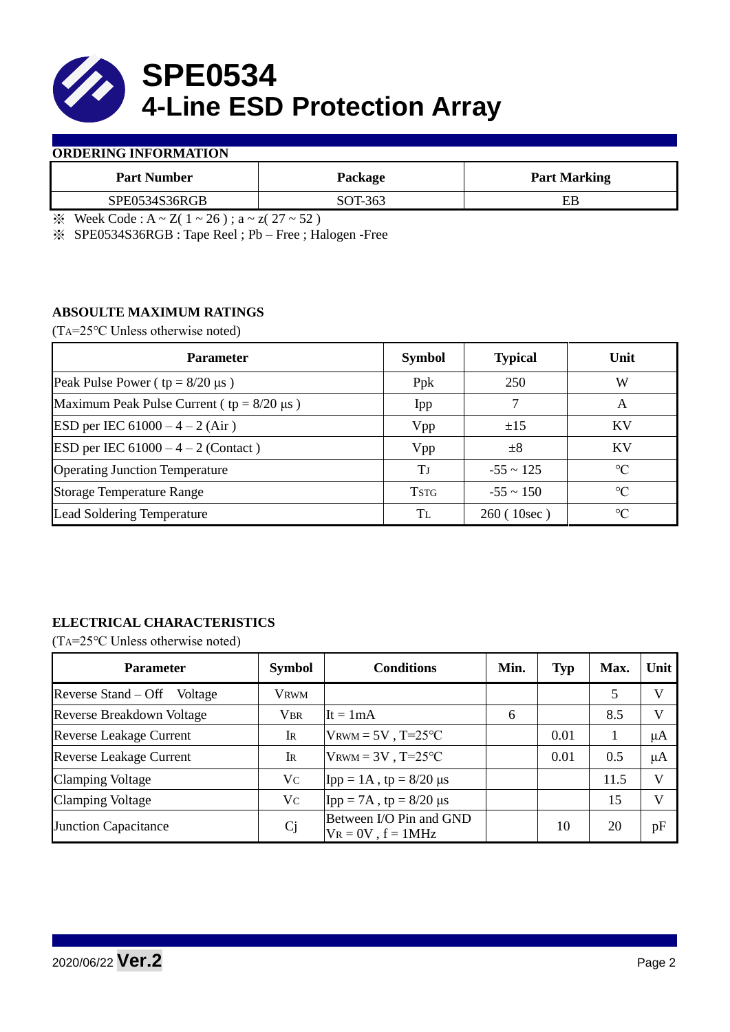

### **ORDERING INFORMATION**

| <b>Part Number</b> | Package | <b>Part Marking</b> |
|--------------------|---------|---------------------|
| SPE0534S36RGB      | SOT-363 |                     |

 $\frac{1}{2}$  Week Code : A ~ Z( 1 ~ 26); a ~ z( 27 ~ 52)

※ SPE0534S36RGB : Tape Reel ; Pb – Free ; Halogen -Free

## **ABSOULTE MAXIMUM RATINGS**

(TA=25℃ Unless otherwise noted)

| <b>Parameter</b>                                 | <b>Symbol</b> | <b>Typical</b> | Unit            |  |
|--------------------------------------------------|---------------|----------------|-----------------|--|
| Peak Pulse Power ( $tp = 8/20 \mu s$ )           | Ppk           | 250            | W               |  |
| Maximum Peak Pulse Current ( $tp = 8/20 \mu s$ ) | Ipp           |                | A               |  |
| ESD per IEC $61000 - 4 - 2$ (Air)                | Vpp           | ±15            | <b>KV</b>       |  |
| <b>ESD</b> per IEC $61000 - 4 - 2$ (Contact)     | Vpp           | $\pm 8$        | KV              |  |
| <b>Operating Junction Temperature</b>            | Tі            | $-55 \sim 125$ | $\rm ^{\circ}C$ |  |
| <b>Storage Temperature Range</b>                 | <b>TSTG</b>   | $-55 \sim 150$ | $\rm ^{\circ}C$ |  |
| Lead Soldering Temperature                       | Tī.           | 260(10sec)     | $\rm ^{\circ}C$ |  |

# **ELECTRICAL CHARACTERISTICS**

(TA=25℃ Unless otherwise noted)

| <b>Parameter</b>                 | <b>Symbol</b> | <b>Conditions</b>                                  | Min. | <b>Typ</b> | Max. | Unit         |
|----------------------------------|---------------|----------------------------------------------------|------|------------|------|--------------|
| Reverse Stand – Off<br>Voltage   | <b>VRWM</b>   |                                                    |      |            | 5    | V            |
| <b>Reverse Breakdown Voltage</b> | <b>VBR</b>    | It = $1mA$                                         | 6    |            | 8.5  | $\mathbf{V}$ |
| <b>Reverse Leakage Current</b>   | IR            | $V_{\text{RWM}} = 5V$ , T=25°C                     |      | 0.01       |      | μA           |
| <b>Reverse Leakage Current</b>   | IR            | $V_{\text{RWM}} = 3V$ , T=25°C                     |      | 0.01       | 0.5  | μA           |
| <b>Clamping Voltage</b>          | Vc            | Ipp = $1A$ , tp = $8/20 \mu s$                     |      |            | 11.5 | V            |
| <b>Clamping Voltage</b>          | Vc            | Ipp = 7A, tp = $8/20 \mu s$                        |      |            | 15   | $\mathbf{V}$ |
| <b>Junction Capacitance</b>      | <b>Cj</b>     | Between I/O Pin and GND<br>$V_R = 0V$ , $f = 1MHz$ |      | 10         | 20   | pF           |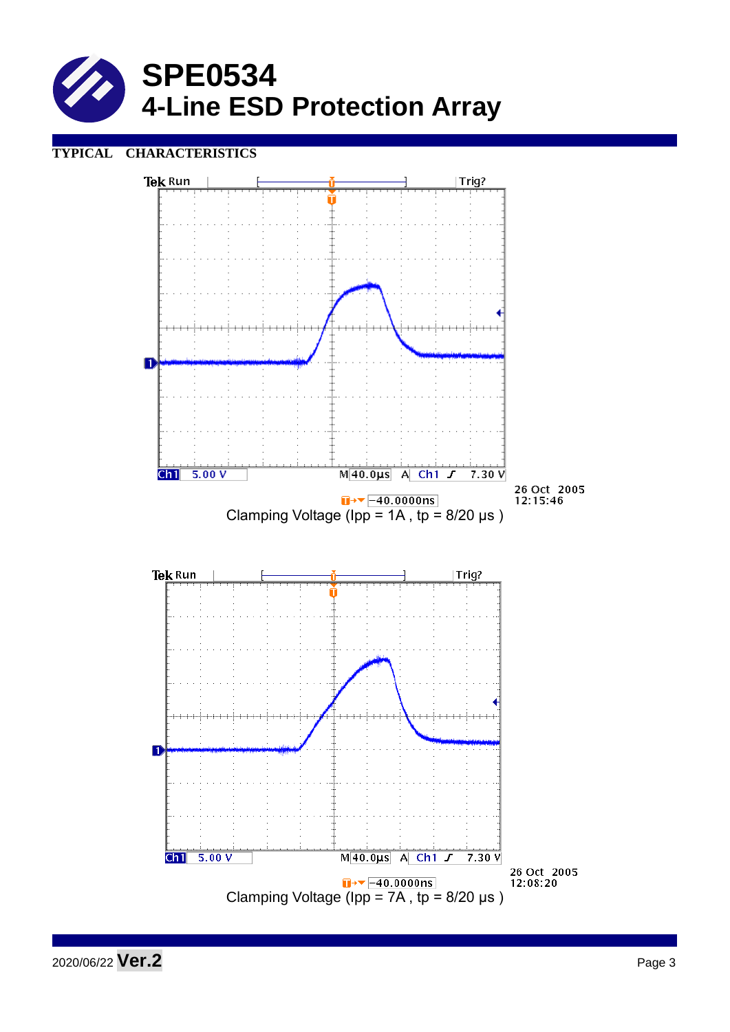

## **TYPICAL CHARACTERISTICS**



2020/06/22 **Ver.2** Page 3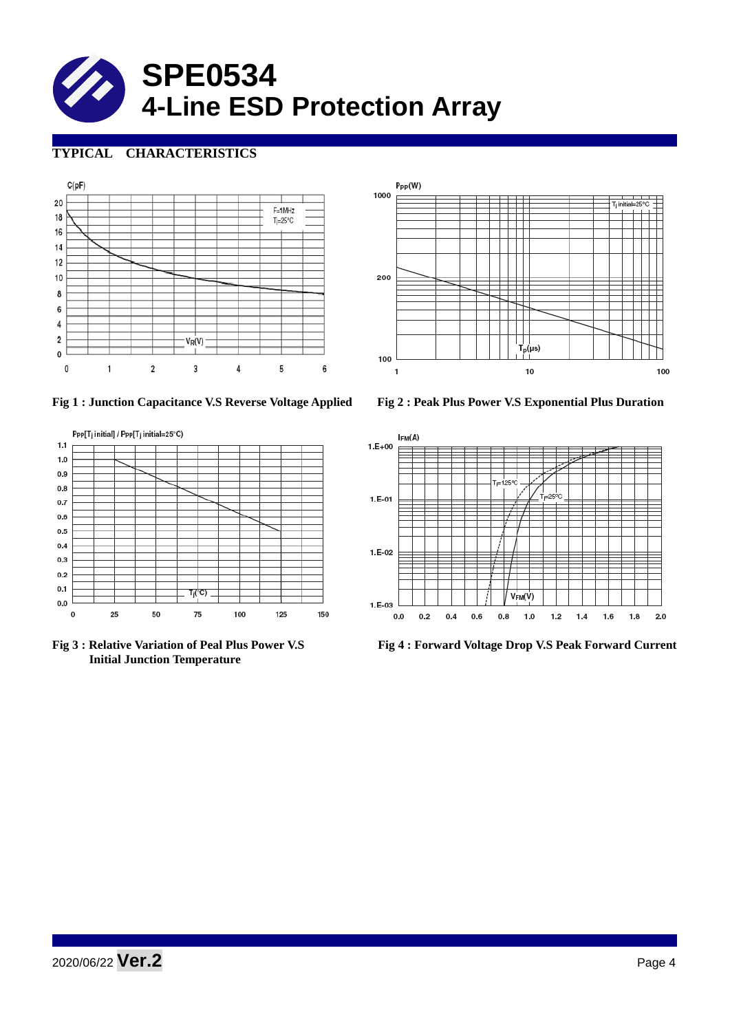

## **TYPICAL CHARACTERISTICS**





 **Initial Junction Temperature** 



**Fig 1 : Junction Capacitance V.S Reverse Voltage Applied Fig 2 : Peak Plus Power V.S Exponential Plus Duration**



**Fig 3 : Relative Variation of Peal Plus Power V.S Fig 4 : Forward Voltage Drop V.S Peak Forward Current**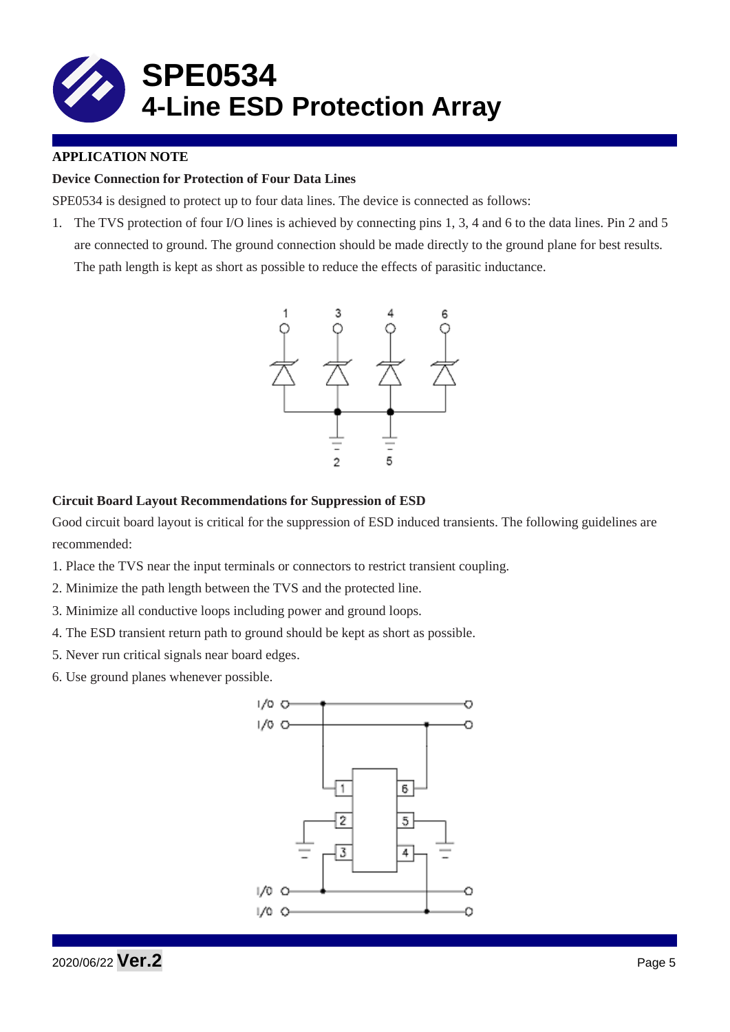

## **APPLICATION NOTE**

## **Device Connection for Protection of Four Data Lines**

SPE0534 is designed to protect up to four data lines. The device is connected as follows:

1. The TVS protection of four I/O lines is achieved by connecting pins 1, 3, 4 and 6 to the data lines. Pin 2 and 5 are connected to ground. The ground connection should be made directly to the ground plane for best results. The path length is kept as short as possible to reduce the effects of parasitic inductance.



### **Circuit Board Layout Recommendations for Suppression of ESD**

Good circuit board layout is critical for the suppression of ESD induced transients. The following guidelines are recommended:

- 1. Place the TVS near the input terminals or connectors to restrict transient coupling.
- 2. Minimize the path length between the TVS and the protected line.
- 3. Minimize all conductive loops including power and ground loops.
- 4. The ESD transient return path to ground should be kept as short as possible.
- 5. Never run critical signals near board edges.
- 6. Use ground planes whenever possible.